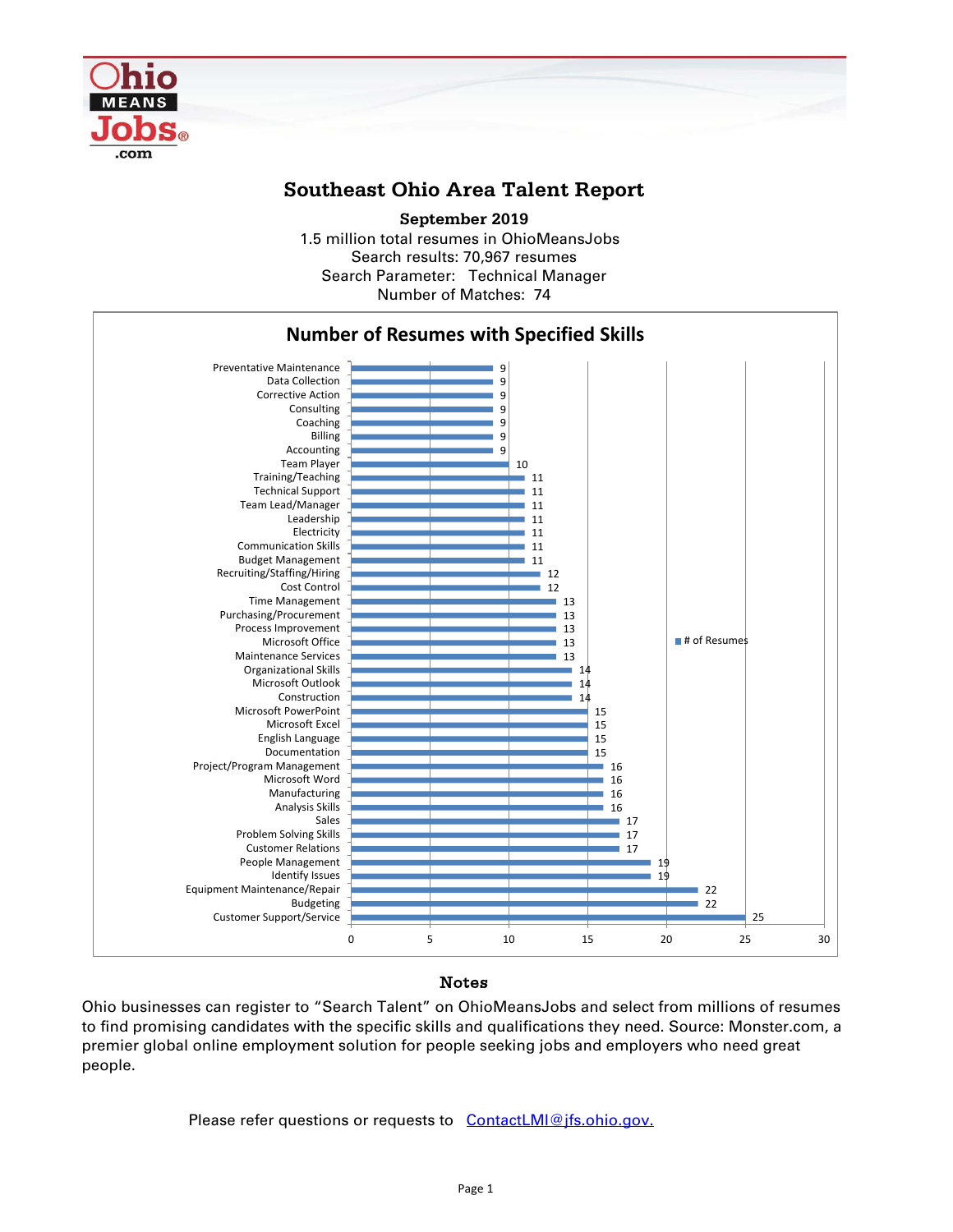

# **Southeast Ohio Area Talent Report**

1.5 million total resumes in OhioMeansJobs Search results: 70,967 resumes Number of Matches: 74 **September 2019** Search Parameter: Technical Manager



### Notes

Ohio businesses can register to "Search Talent" on OhioMeansJobs and select from millions of resumes to find promising candidates with the specific skills and qualifications they need. Source: Monster.com, a premier global online employment solution for people seeking jobs and employers who need great people.

Please refer questions or requests to [ContactLMI@jfs.ohio.gov.](mailto:ContactLMI@jfs.ohio.gov.)